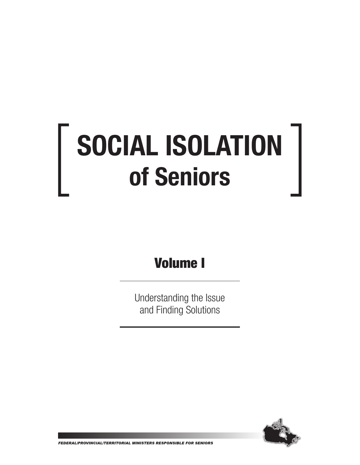# SOCIAL ISOLATION of Seniors

## Volume I

Understanding the Issue and Finding Solutions



FEDERAL/PROVINCIAL/TERRITORIAL MINISTERS RESPONSIBLE FOR SENIORS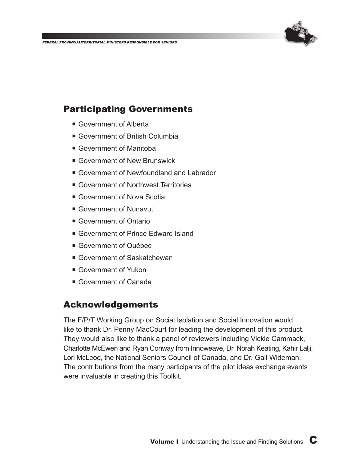

#### Participating Governments

- Government of Alberta
- Government of British Columbia
- Government of Manitoba
- Government of New Brunswick
- Government of Newfoundland and Labrador
- Government of Northwest Territories
- Government of Nova Scotia
- Government of Nunavut
- Government of Ontario
- Government of Prince Edward Island
- Government of Québec
- Government of Saskatchewan
- Government of Yukon
- Government of Canada

#### Acknowledgements

The F/P/T Working Group on Social Isolation and Social Innovation would like to thank Dr. Penny MacCourt for leading the development of this product. They would also like to thank a panel of reviewers including Vickie Cammack, Charlotte McEwen and Ryan Conway from Innoweave, Dr. Norah Keating, Kahir Lalji, Lori McLeod, the National Seniors Council of Canada, and Dr. Gail Wideman. The contributions from the many participants of the pilot ideas exchange events were invaluable in creating this Toolkit.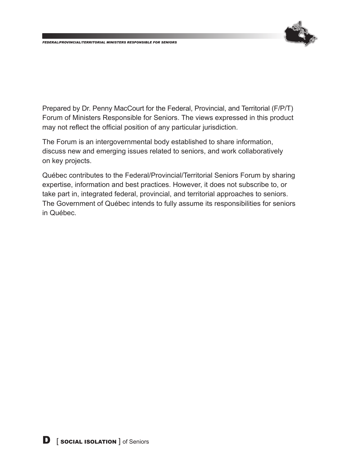

Prepared by Dr. Penny MacCourt for the Federal, Provincial, and Territorial (F/P/T) Forum of Ministers Responsible for Seniors. The views expressed in this product may not reflect the official position of any particular jurisdiction.

The Forum is an intergovernmental body established to share information, discuss new and emerging issues related to seniors, and work collaboratively on key projects.

Québec contributes to the Federal/Provincial/Territorial Seniors Forum by sharing expertise, information and best practices. However, it does not subscribe to, or take part in, integrated federal, provincial, and territorial approaches to seniors. The Government of Québec intends to fully assume its responsibilities for seniors in Québec.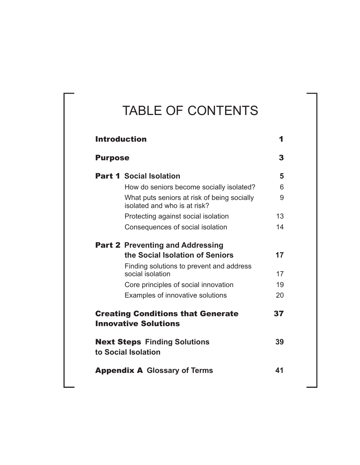## TABLE OF CONTENTS

| <b>Introduction</b>                                                         |    |
|-----------------------------------------------------------------------------|----|
| <b>Purpose</b>                                                              | 3  |
| <b>Part 1 Social Isolation</b>                                              | 5  |
| How do seniors become socially isolated?                                    | 6  |
| What puts seniors at risk of being socially<br>isolated and who is at risk? | 9  |
| Protecting against social isolation                                         | 13 |
| Consequences of social isolation                                            | 14 |
| <b>Part 2 Preventing and Addressing</b>                                     |    |
| the Social Isolation of Seniors                                             | 17 |
| Finding solutions to prevent and address<br>social isolation                | 17 |
| Core principles of social innovation                                        | 19 |
| Examples of innovative solutions                                            | 20 |
| <b>Creating Conditions that Generate</b><br><b>Innovative Solutions</b>     | 37 |
| <b>Next Steps Finding Solutions</b><br>to Social Isolation                  | 39 |
| <b>Appendix A Glossary of Terms</b>                                         | 41 |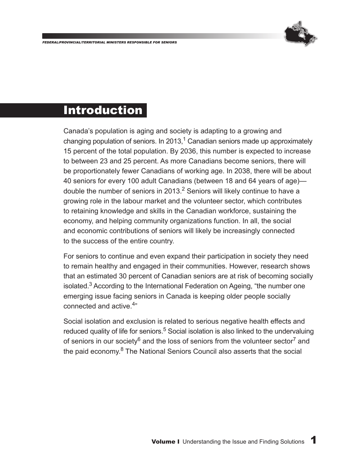

### Introduction

Canada's population is aging and society is adapting to a growing and changing population of seniors. In 2013,<sup>1</sup> Canadian seniors made up approximately 15 percent of the total population. By 2036, this number is expected to increase to between 23 and 25 percent. As more Canadians become seniors, there will be proportionately fewer Canadians of working age. In 2038, there will be about 40 seniors for every 100 adult Canadians (between 18 and 64 years of age) double the number of seniors in 2013.<sup>2</sup> Seniors will likely continue to have a growing role in the labour market and the volunteer sector, which contributes to retaining knowledge and skills in the Canadian workforce, sustaining the economy, and helping community organizations function. In all, the social and economic contributions of seniors will likely be increasingly connected to the success of the entire country.

For seniors to continue and even expand their participation in society they need to remain healthy and engaged in their communities. However, research shows that an estimated 30 percent of Canadian seniors are at risk of becoming socially isolated.<sup>3</sup> According to the International Federation on Ageing, "the number one emerging issue facing seniors in Canada is keeping older people socially connected and active.4"

Social isolation and exclusion is related to serious negative health effects and reduced quality of life for seniors.<sup>5</sup> Social isolation is also linked to the undervaluing of seniors in our society<sup>6</sup> and the loss of seniors from the volunteer sector<sup>7</sup> and the paid economy.<sup>8</sup> The National Seniors Council also asserts that the social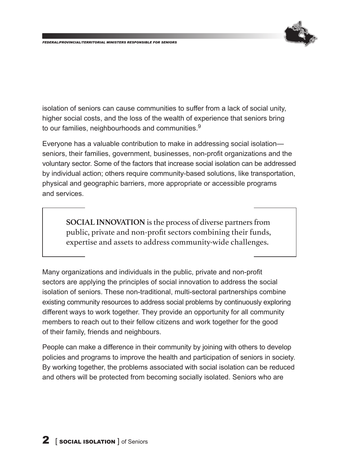

isolation of seniors can cause communities to suffer from a lack of social unity, higher social costs, and the loss of the wealth of experience that seniors bring to our families, neighbourhoods and communities.<sup>9</sup>

Everyone has a valuable contribution to make in addressing social isolation seniors, their families, government, businesses, non-profit organizations and the voluntary sector. Some of the factors that increase social isolation can be addressed by individual action; others require community-based solutions, like transportation, physical and geographic barriers, more appropriate or accessible programs and services.

**SOCIAL INNOVATION** is the process of diverse partners from public, private and non-profit sectors combining their funds, expertise and assets to address community-wide challenges.

Many organizations and individuals in the public, private and non-profit sectors are applying the principles of social innovation to address the social isolation of seniors. These non-traditional, multi-sectoral partnerships combine existing community resources to address social problems by continuously exploring different ways to work together. They provide an opportunity for all community members to reach out to their fellow citizens and work together for the good of their family, friends and neighbours.

People can make a difference in their community by joining with others to develop policies and programs to improve the health and participation of seniors in society. By working together, the problems associated with social isolation can be reduced and others will be protected from becoming socially isolated. Seniors who are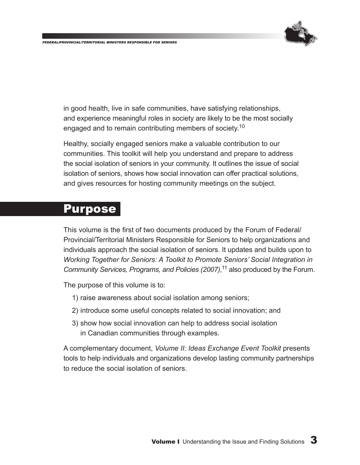

in good health, live in safe communities, have satisfying relationships, and experience meaningful roles in society are likely to be the most socially engaged and to remain contributing members of society.<sup>10</sup>

Healthy, socially engaged seniors make a valuable contribution to our communities. This toolkit will help you understand and prepare to address the social isolation of seniors in your community. It outlines the issue of social isolation of seniors, shows how social innovation can offer practical solutions, and gives resources for hosting community meetings on the subject.

#### **Purpose**

This volume is the first of two documents produced by the Forum of Federal/ Provincial/Territorial Ministers Responsible for Seniors to help organizations and individuals approach the social isolation of seniors. It updates and builds upon to *Working Together for Seniors: A Toolkit to Promote Seniors' Social Integration in Community Services, Programs, and Policies (2007)*, 11 also produced by the Forum.

The purpose of this volume is to:

- 1) raise awareness about social isolation among seniors;
- 2) introduce some useful concepts related to social innovation; and
- 3) show how social innovation can help to address social isolation in Canadian communities through examples.

A complementary document, *Volume II: Ideas Exchange Event Toolkit* presents tools to help individuals and organizations develop lasting community partnerships to reduce the social isolation of seniors.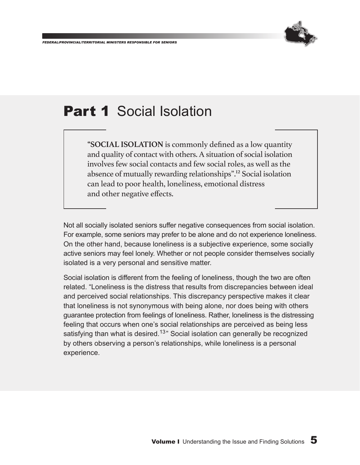

## **Part 1 Social Isolation**

**"SOCIAL ISOLATION** is commonly defined as a low quantity and quality of contact with others. A situation of social isolation involves few social contacts and few social roles, as well as the absence of mutually rewarding relationships".12 Social isolation can lead to poor health, loneliness, emotional distress and other negative effects.

Not all socially isolated seniors suffer negative consequences from social isolation. For example, some seniors may prefer to be alone and do not experience loneliness. On the other hand, because loneliness is a subjective experience, some socially active seniors may feel lonely. Whether or not people consider themselves socially isolated is a very personal and sensitive matter.

Social isolation is different from the feeling of loneliness, though the two are often related. "Loneliness is the distress that results from discrepancies between ideal and perceived social relationships. This discrepancy perspective makes it clear that loneliness is not synonymous with being alone, nor does being with others guarantee protection from feelings of loneliness. Rather, loneliness is the distressing feeling that occurs when one's social relationships are perceived as being less satisfying than what is desired.<sup>13</sup> Social isolation can generally be recognized by others observing a person's relationships, while loneliness is a personal experience.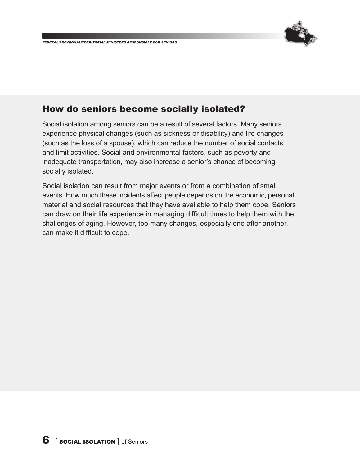

#### How do seniors become socially isolated?

Social isolation among seniors can be a result of several factors. Many seniors experience physical changes (such as sickness or disability) and life changes (such as the loss of a spouse), which can reduce the number of social contacts and limit activities. Social and environmental factors, such as poverty and inadequate transportation, may also increase a senior's chance of becoming socially isolated.

Social isolation can result from major events or from a combination of small events. How much these incidents affect people depends on the economic, personal, material and social resources that they have available to help them cope. Seniors can draw on their life experience in managing difficult times to help them with the challenges of aging. However, too many changes, especially one after another, can make it difficult to cope.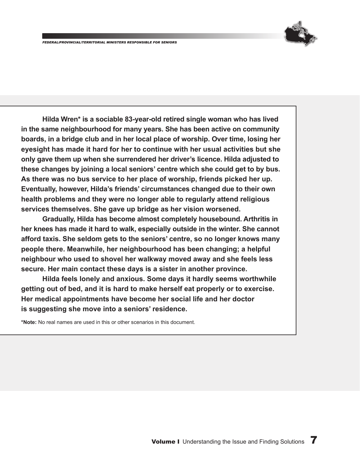**Hilda Wren\* is a sociable 83-year-old retired single woman who has lived in the same neighbourhood for many years. She has been active on community boards, in a bridge club and in her local place of worship. Over time, losing her eyesight has made it hard for her to continue with her usual activities but she only gave them up when she surrendered her driver's licence. Hilda adjusted to these changes by joining a local seniors' centre which she could get to by bus. As there was no bus service to her place of worship, friends picked her up. Eventually, however, Hilda's friends' circumstances changed due to their own health problems and they were no longer able to regularly attend religious services themselves. She gave up bridge as her vision worsened.**

**Gradually, Hilda has become almost completely housebound. Arthritis in her knees has made it hard to walk, especially outside in the winter. She cannot afford taxis. She seldom gets to the seniors' centre, so no longer knows many people there. Meanwhile, her neighbourhood has been changing; a helpful neighbour who used to shovel her walkway moved away and she feels less secure. Her main contact these days is a sister in another province.**

**Hilda feels lonely and anxious. Some days it hardly seems worthwhile getting out of bed, and it is hard to make herself eat properly or to exercise. Her medical appointments have become her social life and her doctor is suggesting she move into a seniors' residence.**

**\*Note:** No real names are used in this or other scenarios in this document.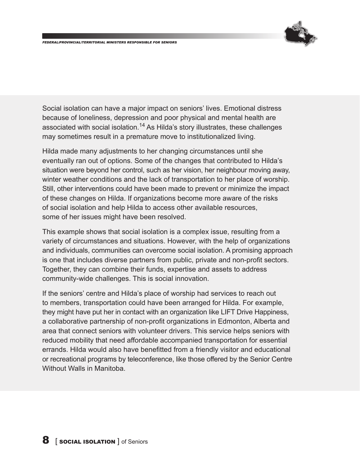

Social isolation can have a major impact on seniors' lives. Emotional distress because of loneliness, depression and poor physical and mental health are associated with social isolation.<sup>14</sup> As Hilda's story illustrates, these challenges may sometimes result in a premature move to institutionalized living.

Hilda made many adjustments to her changing circumstances until she eventually ran out of options. Some of the changes that contributed to Hilda's situation were beyond her control, such as her vision, her neighbour moving away, winter weather conditions and the lack of transportation to her place of worship. Still, other interventions could have been made to prevent or minimize the impact of these changes on Hilda. If organizations become more aware of the risks of social isolation and help Hilda to access other available resources, some of her issues might have been resolved.

This example shows that social isolation is a complex issue, resulting from a variety of circumstances and situations. However, with the help of organizations and individuals, communities can overcome social isolation. A promising approach is one that includes diverse partners from public, private and non-profit sectors. Together, they can combine their funds, expertise and assets to address community-wide challenges. This is social innovation.

If the seniors' centre and Hilda's place of worship had services to reach out to members, transportation could have been arranged for Hilda. For example, they might have put her in contact with an organization like LIFT Drive Happiness, a collaborative partnership of non-profit organizations in Edmonton, Alberta and area that connect seniors with volunteer drivers. This service helps seniors with reduced mobility that need affordable accompanied transportation for essential errands. Hilda would also have benefitted from a friendly visitor and educational or recreational programs by teleconference, like those offered by the Senior Centre Without Walls in Manitoba.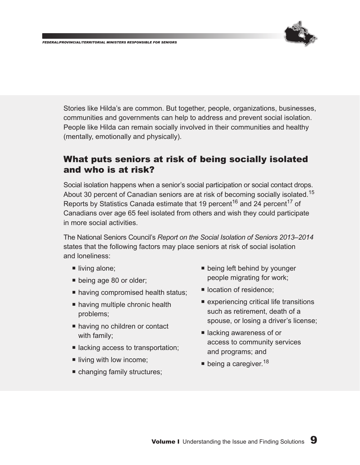

Stories like Hilda's are common. But together, people, organizations, businesses, communities and governments can help to address and prevent social isolation. People like Hilda can remain socially involved in their communities and healthy (mentally, emotionally and physically).

#### What puts seniors at risk of being socially isolated and who is at risk?

Social isolation happens when a senior's social participation or social contact drops. About 30 percent of Canadian seniors are at risk of becoming socially isolated.<sup>15</sup> Reports by Statistics Canada estimate that 19 percent<sup>16</sup> and 24 percent<sup>17</sup> of Canadians over age 65 feel isolated from others and wish they could participate in more social activities.

The National Seniors Council's *Report on the Social Isolation of Seniors 2013–2014* states that the following factors may place seniors at risk of social isolation and loneliness:

- living alone;
- **being age 80 or older;**
- **national having compromised health status;**
- **E** having multiple chronic health problems;
- having no children or contact with family;
- lacking access to transportation;
- $\blacksquare$  living with low income;
- changing family structures;
- **being left behind by younger** people migrating for work;
- **location of residence;**
- experiencing critical life transitions such as retirement, death of a spouse, or losing a driver's license;
- lacking awareness of or access to community services and programs; and
- being a caregiver.<sup>18</sup>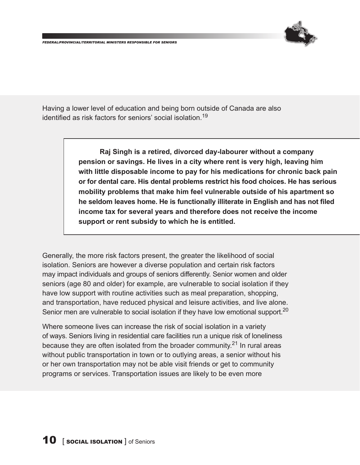

Having a lower level of education and being born outside of Canada are also identified as risk factors for seniors' social isolation.<sup>19</sup>

> **Raj Singh is a retired, divorced day-labourer without a company pension or savings. He lives in a city where rent is very high, leaving him with little disposable income to pay for his medications for chronic back pain or for dental care. His dental problems restrict his food choices. He has serious mobility problems that make him feel vulnerable outside of his apartment so he seldom leaves home. He is functionally illiterate in English and has not filed income tax for several years and therefore does not receive the income support or rent subsidy to which he is entitled.**

Generally, the more risk factors present, the greater the likelihood of social isolation. Seniors are however a diverse population and certain risk factors may impact individuals and groups of seniors differently. Senior women and older seniors (age 80 and older) for example, are vulnerable to social isolation if they have low support with routine activities such as meal preparation, shopping, and transportation, have reduced physical and leisure activities, and live alone. Senior men are vulnerable to social isolation if they have low emotional support.<sup>20</sup>

Where someone lives can increase the risk of social isolation in a variety of ways. Seniors living in residential care facilities run a unique risk of loneliness because they are often isolated from the broader community. $21$  In rural areas without public transportation in town or to outlying areas, a senior without his or her own transportation may not be able visit friends or get to community programs or services. Transportation issues are likely to be even more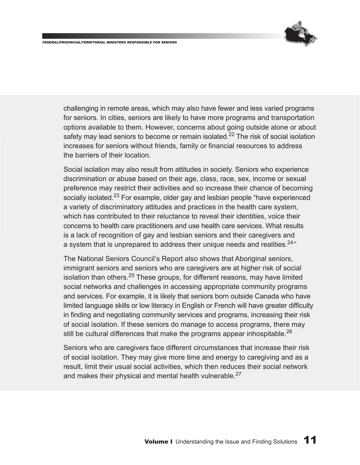

challenging in remote areas, which may also have fewer and less varied programs for seniors. In cities, seniors are likely to have more programs and transportation options available to them. However, concerns about going outside alone or about safety may lead seniors to become or remain isolated.<sup>22</sup> The risk of social isolation increases for seniors without friends, family or financial resources to address the barriers of their location.

Social isolation may also result from attitudes in society. Seniors who experience discrimination or abuse based on their age, class, race, sex, income or sexual preference may restrict their activities and so increase their chance of becoming socially isolated.<sup>23</sup> For example, older gay and lesbian people "have experienced a variety of discriminatory attitudes and practices in the health care system, which has contributed to their reluctance to reveal their identities, voice their concerns to health care practitioners and use health care services. What results is a lack of recognition of gay and lesbian seniors and their caregivers and a system that is unprepared to address their unique needs and realities.<sup>24</sup>"

The National Seniors Council's Report also shows that Aboriginal seniors, immigrant seniors and seniors who are caregivers are at higher risk of social isolation than others. $25$  These groups, for different reasons, may have limited social networks and challenges in accessing appropriate community programs and services. For example, it is likely that seniors born outside Canada who have limited language skills or low literacy in English or French will have greater difficulty in finding and negotiating community services and programs, increasing their risk of social isolation. If these seniors do manage to access programs, there may still be cultural differences that make the programs appear inhospitable.<sup>26</sup>

Seniors who are caregivers face different circumstances that increase their risk of social isolation. They may give more time and energy to caregiving and as a result, limit their usual social activities, which then reduces their social network and makes their physical and mental health vulnerable. $27$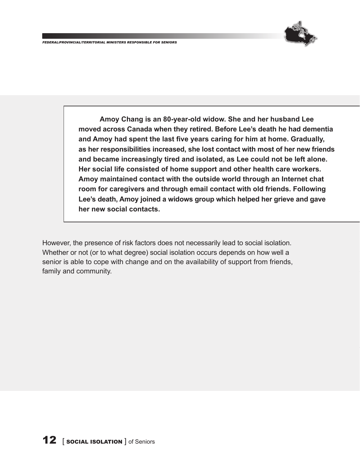

**Amoy Chang is an 80-year-old widow. She and her husband Lee moved across Canada when they retired. Before Lee's death he had dementia and Amoy had spent the last five years caring for him at home. Gradually, as her responsibilities increased, she lost contact with most of her new friends and became increasingly tired and isolated, as Lee could not be left alone. Her social life consisted of home support and other health care workers. Amoy maintained contact with the outside world through an Internet chat room for caregivers and through email contact with old friends. Following Lee's death, Amoy joined a widows group which helped her grieve and gave her new social contacts.**

However, the presence of risk factors does not necessarily lead to social isolation. Whether or not (or to what degree) social isolation occurs depends on how well a senior is able to cope with change and on the availability of support from friends, family and community.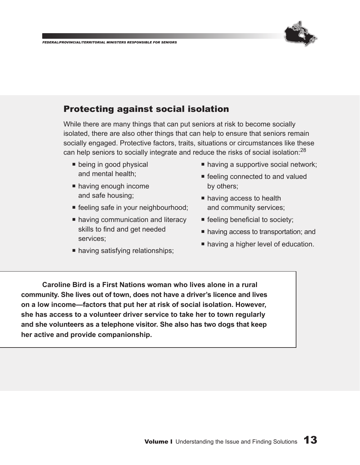

#### Protecting against social isolation

While there are many things that can put seniors at risk to become socially isolated, there are also other things that can help to ensure that seniors remain socially engaged. Protective factors, traits, situations or circumstances like these can help seniors to socially integrate and reduce the risks of social isolation:<sup>28</sup>

- **being in good physical** and mental health;
- having enough income and safe housing;
- feeling safe in your neighbourhood;
- having communication and literacy skills to find and get needed services;
- having satisfying relationships;
- having a supportive social network;
- feeling connected to and valued by others;
- **having access to health** and community services;
- $\blacksquare$  feeling beneficial to society;
- having access to transportation; and
- **having a higher level of education.**

**Caroline Bird is a First Nations woman who lives alone in a rural community. She lives out of town, does not have a driver's licence and lives on a low income—factors that put her at risk of social isolation. However, she has access to a volunteer driver service to take her to town regularly and she volunteers as a telephone visitor. She also has two dogs that keep her active and provide companionship.**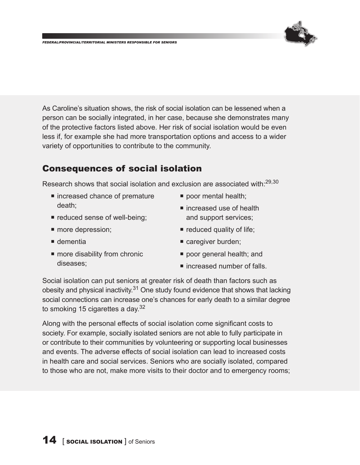

As Caroline's situation shows, the risk of social isolation can be lessened when a person can be socially integrated, in her case, because she demonstrates many of the protective factors listed above. Her risk of social isolation would be even less if, for example she had more transportation options and access to a wider variety of opportunities to contribute to the community.

#### Consequences of social isolation

Research shows that social isolation and exclusion are associated with:<sup>29,30</sup>

- increased chance of premature death;
- **reduced sense of well-being;**

 $\blacksquare$  more disability from chronic

**n** more depression;

 $\blacksquare$  dementia

diseases;

■ increased use of health and support services;

**poor mental health;** 

- $\blacksquare$  reduced quality of life;
- caregiver burden;
	- **poor general health; and**
	- $\blacksquare$  increased number of falls.

Social isolation can put seniors at greater risk of death than factors such as obesity and physical inactivity. $31$  One study found evidence that shows that lacking social connections can increase one's chances for early death to a similar degree to smoking 15 cigarettes a day. $32$ 

Along with the personal effects of social isolation come significant costs to society. For example, socially isolated seniors are not able to fully participate in or contribute to their communities by volunteering or supporting local businesses and events. The adverse effects of social isolation can lead to increased costs in health care and social services. Seniors who are socially isolated, compared to those who are not, make more visits to their doctor and to emergency rooms;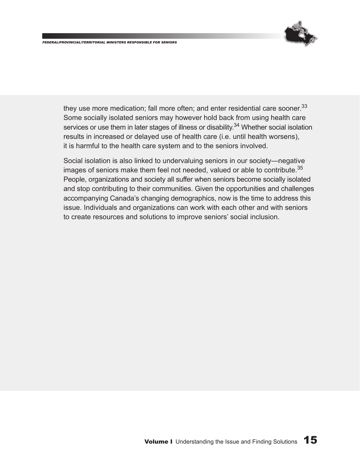

they use more medication; fall more often; and enter residential care sooner.  $33$ Some socially isolated seniors may however hold back from using health care services or use them in later stages of illness or disability.<sup>34</sup> Whether social isolation results in increased or delayed use of health care (i.e. until health worsens), it is harmful to the health care system and to the seniors involved.

Social isolation is also linked to undervaluing seniors in our society—negative images of seniors make them feel not needed, valued or able to contribute.<sup>35</sup> People, organizations and society all suffer when seniors become socially isolated and stop contributing to their communities. Given the opportunities and challenges accompanying Canada's changing demographics, now is the time to address this issue. Individuals and organizations can work with each other and with seniors to create resources and solutions to improve seniors' social inclusion.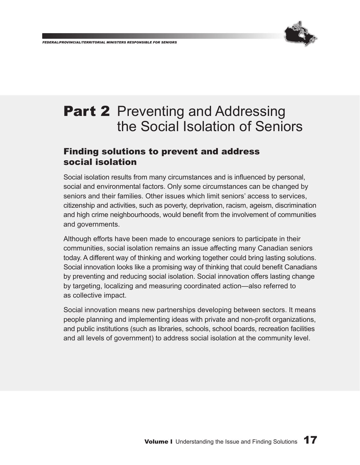

## **Part 2** Preventing and Addressing the Social Isolation of Seniors

#### Finding solutions to prevent and address social isolation

Social isolation results from many circumstances and is influenced by personal, social and environmental factors. Only some circumstances can be changed by seniors and their families. Other issues which limit seniors' access to services, citizenship and activities, such as poverty, deprivation, racism, ageism, discrimination and high crime neighbourhoods, would benefit from the involvement of communities and governments.

Although efforts have been made to encourage seniors to participate in their communities, social isolation remains an issue affecting many Canadian seniors today. A different way of thinking and working together could bring lasting solutions. Social innovation looks like a promising way of thinking that could benefit Canadians by preventing and reducing social isolation. Social innovation offers lasting change by targeting, localizing and measuring coordinated action—also referred to as collective impact.

Social innovation means new partnerships developing between sectors. It means people planning and implementing ideas with private and non-profit organizations, and public institutions (such as libraries, schools, school boards, recreation facilities and all levels of government) to address social isolation at the community level.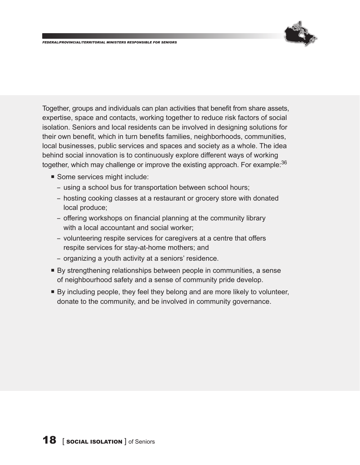

Together, groups and individuals can plan activities that benefit from share assets, expertise, space and contacts, working together to reduce risk factors of social isolation. Seniors and local residents can be involved in designing solutions for their own benefit, which in turn benefits families, neighborhoods, communities, local businesses, public services and spaces and society as a whole. The idea behind social innovation is to continuously explore different ways of working together, which may challenge or improve the existing approach. For example: 36

- Some services might include:
	- using a school bus for transportation between school hours;
	- hosting cooking classes at a restaurant or grocery store with donated local produce;
	- offering workshops on financial planning at the community library with a local accountant and social worker;
	- volunteering respite services for caregivers at a centre that offers respite services for stay-at-home mothers; and
	- organizing a youth activity at a seniors' residence.
- ¡ By strengthening relationships between people in communities, a sense of neighbourhood safety and a sense of community pride develop.
- ¡ By including people, they feel they belong and are more likely to volunteer, donate to the community, and be involved in community governance.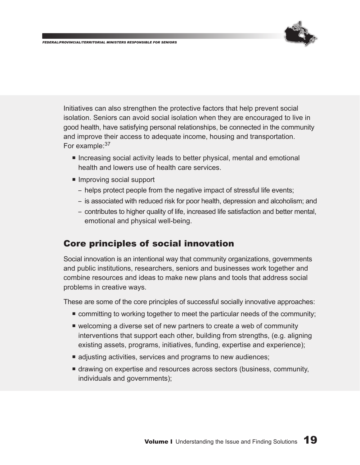

Initiatives can also strengthen the protective factors that help prevent social isolation. Seniors can avoid social isolation when they are encouraged to live in good health, have satisfying personal relationships, be connected in the community and improve their access to adequate income, housing and transportation. For example: 37

- Increasing social activity leads to better physical, mental and emotional health and lowers use of health care services.
- Improving social support
	- helps protect people from the negative impact of stressful life events;
	- is associated with reduced risk for poor health, depression and alcoholism; and
	- contributes to higher quality of life, increased life satisfaction and better mental, emotional and physical well-being.

#### Core principles of social innovation

Social innovation is an intentional way that community organizations, governments and public institutions, researchers, seniors and businesses work together and combine resources and ideas to make new plans and tools that address social problems in creative ways.

These are some of the core principles of successful socially innovative approaches:

- ¡ committing to working together to meet the particular needs of the community;
- welcoming a diverse set of new partners to create a web of community interventions that support each other, building from strengths, (e.g. aligning existing assets, programs, initiatives, funding, expertise and experience);
- $\blacksquare$  adjusting activities, services and programs to new audiences;
- ¡ drawing on expertise and resources across sectors (business, community, individuals and governments);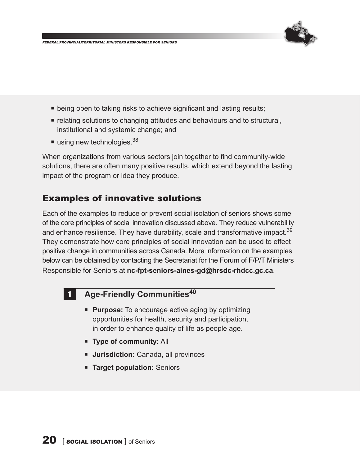

- being open to taking risks to achieve significant and lasting results;
- ¡ relating solutions to changing attitudes and behaviours and to structural, institutional and systemic change; and
- $\blacksquare$  using new technologies.  $38$

When organizations from various sectors join together to find community-wide solutions, there are often many positive results, which extend beyond the lasting impact of the program or idea they produce.

#### Examples of innovative solutions

Each of the examples to reduce or prevent social isolation of seniors shows some of the core principles of social innovation discussed above. They reduce vulnerability and enhance resilience. They have durability, scale and transformative impact.<sup>39</sup> They demonstrate how core principles of social innovation can be used to effect positive change in communities across Canada. More information on the examples below can be obtained by contacting the Secretariat for the Forum of F/P/T Ministers Responsible for Seniors at **nc-fpt-seniors-aines-gd@hrsdc-rhdcc.gc.ca**.

#### **1** Age-Friendly Communities<sup>40</sup>

- **Purpose:** To encourage active aging by optimizing opportunities for health, security and participation, in order to enhance quality of life as people age.
- ¡ **Type of community:** All
- **Jurisdiction:** Canada, all provinces
- **EXTER Target population: Seniors**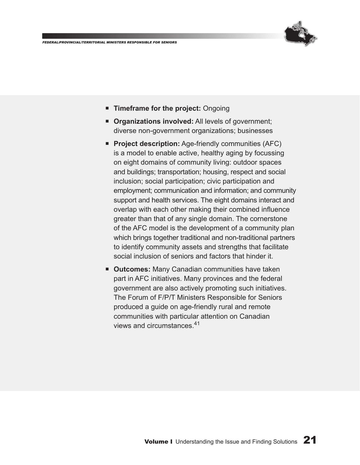

- ¡ **Timeframe for the project:** Ongoing
- **Organizations involved:** All levels of government; diverse non-government organizations; businesses
- **Project description:** Age-friendly communities (AFC) is a model to enable active, healthy aging by focussing on eight domains of community living: outdoor spaces and buildings; transportation; housing, respect and social inclusion; social participation; civic participation and employment; communication and information; and community support and health services. The eight domains interact and overlap with each other making their combined influence greater than that of any single domain. The cornerstone of the AFC model is the development of a community plan which brings together traditional and non-traditional partners to identify community assets and strengths that facilitate social inclusion of seniors and factors that hinder it.
- **Outcomes: Many Canadian communities have taken** part in AFC initiatives. Many provinces and the federal government are also actively promoting such initiatives. The Forum of F/P/T Ministers Responsible for Seniors produced a guide on age-friendly rural and remote communities with particular attention on Canadian views and circumstances.<sup>41</sup>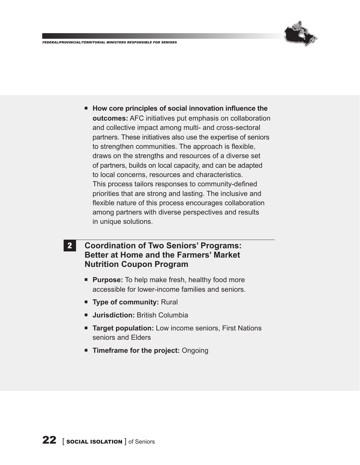

■ How core principles of social innovation influence the **outcomes:** AFC initiatives put emphasis on collaboration and collective impact among multi- and cross-sectoral partners. These initiatives also use the expertise of seniors to strengthen communities. The approach is flexible, draws on the strengths and resources of a diverse set of partners, builds on local capacity, and can be adapted to local concerns, resources and characteristics. This process tailors responses to community-defined priorities that are strong and lasting. The inclusive and flexible nature of this process encourages collaboration among partners with diverse perspectives and results in unique solutions.

#### 2 **Coordination of Two Seniors' Programs: Better at Home and the Farmers' Market Nutrition Coupon Program**

- **Purpose:** To help make fresh, healthy food more accessible for lower-income families and seniors.
- **Type of community: Rural**
- ¡ **Jurisdiction:** British Columbia
- **Target population:** Low income seniors, First Nations seniors and Elders
- ¡ **Timeframe for the project:** Ongoing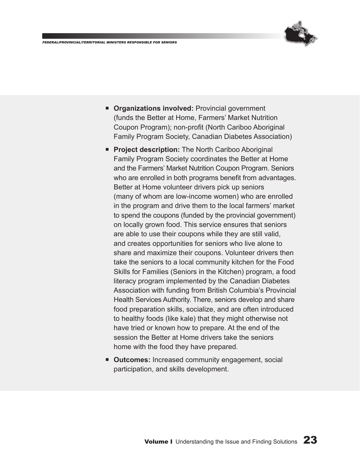

- **Organizations involved:** Provincial government (funds the Better at Home, Farmers' Market Nutrition Coupon Program); non-profit (North Cariboo Aboriginal Family Program Society, Canadian Diabetes Association)
- **Project description:** The North Cariboo Aboriginal Family Program Society coordinates the Better at Home and the Farmers' Market Nutrition Coupon Program. Seniors who are enrolled in both programs benefit from advantages. Better at Home volunteer drivers pick up seniors (many of whom are low-income women) who are enrolled in the program and drive them to the local farmers' market to spend the coupons (funded by the provincial government) on locally grown food. This service ensures that seniors are able to use their coupons while they are still valid, and creates opportunities for seniors who live alone to share and maximize their coupons. Volunteer drivers then take the seniors to a local community kitchen for the Food Skills for Families (Seniors in the Kitchen) program, a food literacy program implemented by the Canadian Diabetes Association with funding from British Columbia's Provincial Health Services Authority. There, seniors develop and share food preparation skills, socialize, and are often introduced to healthy foods (like kale) that they might otherwise not have tried or known how to prepare. At the end of the session the Better at Home drivers take the seniors home with the food they have prepared.
- **Outcomes:** Increased community engagement, social participation, and skills development.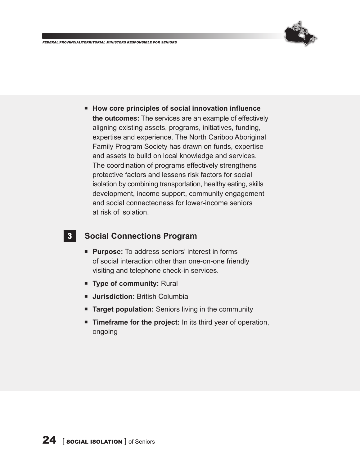

■ How core principles of social innovation influence **the outcomes:** The services are an example of effectively aligning existing assets, programs, initiatives, funding, expertise and experience. The North Cariboo Aboriginal Family Program Society has drawn on funds, expertise and assets to build on local knowledge and services. The coordination of programs effectively strengthens protective factors and lessens risk factors for social isolation by combining transportation, healthy eating, skills development, income support, community engagement and social connectedness for lower-income seniors at risk of isolation.

#### 3 **Social Connections Program**

- ¡ **Purpose:** To address seniors' interest in forms of social interaction other than one-on-one friendly visiting and telephone check-in services.
- ¡ **Type of community:** Rural
- ¡ **Jurisdiction:** British Columbia
- **Target population:** Seniors living in the community
- **Timeframe for the project:** In its third year of operation, ongoing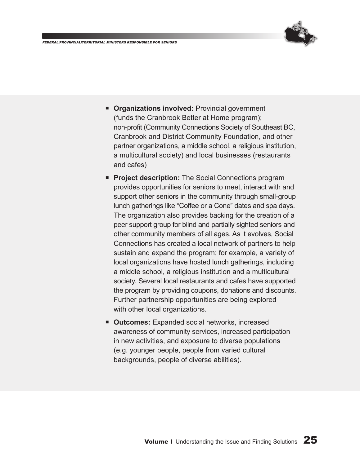

- **Organizations involved:** Provincial government (funds the Cranbrook Better at Home program); non‑profit (Community Connections Society of Southeast BC, Cranbrook and District Community Foundation, and other partner organizations, a middle school, a religious institution, a multicultural society) and local businesses (restaurants and cafes)
- **Project description:** The Social Connections program provides opportunities for seniors to meet, interact with and support other seniors in the community through small-group lunch gatherings like "Coffee or a Cone" dates and spa days. The organization also provides backing for the creation of a peer support group for blind and partially sighted seniors and other community members of all ages. As it evolves, Social Connections has created a local network of partners to help sustain and expand the program; for example, a variety of local organizations have hosted lunch gatherings, including a middle school, a religious institution and a multicultural society. Several local restaurants and cafes have supported the program by providing coupons, donations and discounts. Further partnership opportunities are being explored with other local organizations.
- **Outcomes:** Expanded social networks, increased awareness of community services, increased participation in new activities, and exposure to diverse populations (e.g. younger people, people from varied cultural backgrounds, people of diverse abilities).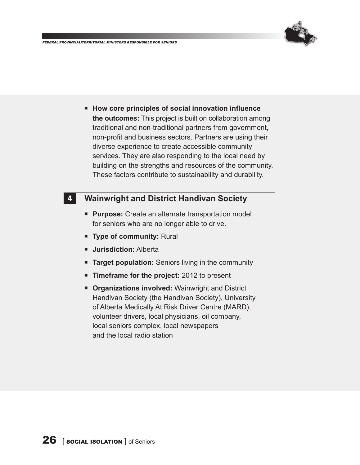

■ How core principles of social innovation influence **the outcomes:** This project is built on collaboration among traditional and non-traditional partners from government, non-profit and business sectors. Partners are using their diverse experience to create accessible community services. They are also responding to the local need by building on the strengths and resources of the community. These factors contribute to sustainability and durability.

#### 4 **Wainwright and District Handivan Society**

- ¡ **Purpose:** Create an alternate transportation model for seniors who are no longer able to drive.
- ¡ **Type of community:** Rural
- ¡ **Jurisdiction:** Alberta
- **Target population:** Seniors living in the community
- **Timeframe for the project:** 2012 to present
- ¡ **Organizations involved:** Wainwright and District Handivan Society (the Handivan Society), University of Alberta Medically At Risk Driver Centre (MARD), volunteer drivers, local physicians, oil company, local seniors complex, local newspapers and the local radio station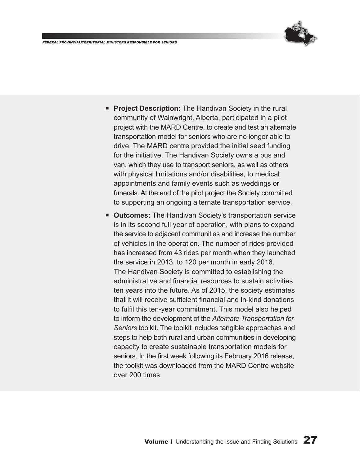

- **Project Description:** The Handivan Society in the rural community of Wainwright, Alberta, participated in a pilot project with the MARD Centre, to create and test an alternate transportation model for seniors who are no longer able to drive. The MARD centre provided the initial seed funding for the initiative. The Handivan Society owns a bus and van, which they use to transport seniors, as well as others with physical limitations and/or disabilities, to medical appointments and family events such as weddings or funerals. At the end of the pilot project the Society committed to supporting an ongoing alternate transportation service.
- **Outcomes:** The Handivan Society's transportation service is in its second full year of operation, with plans to expand the service to adjacent communities and increase the number of vehicles in the operation. The number of rides provided has increased from 43 rides per month when they launched the service in 2013, to 120 per month in early 2016. The Handivan Society is committed to establishing the administrative and financial resources to sustain activities ten years into the future. As of 2015, the society estimates that it will receive sufficient financial and in-kind donations to fulfil this ten‑year commitment. This model also helped to inform the development of the *Alternate Transportation for Seniors* toolkit. The toolkit includes tangible approaches and steps to help both rural and urban communities in developing capacity to create sustainable transportation models for seniors. In the first week following its February 2016 release, the toolkit was downloaded from the MARD Centre website over 200 times.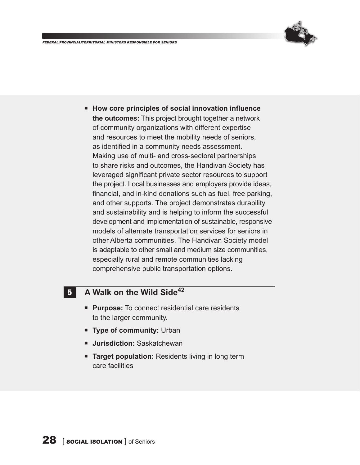

■ How core principles of social innovation influence **the outcomes:** This project brought together a network of community organizations with different expertise and resources to meet the mobility needs of seniors, as identified in a community needs assessment. Making use of multi- and cross-sectoral partnerships to share risks and outcomes, the Handivan Society has leveraged significant private sector resources to support the project. Local businesses and employers provide ideas, financial, and in-kind donations such as fuel, free parking, and other supports. The project demonstrates durability and sustainability and is helping to inform the successful development and implementation of sustainable, responsive models of alternate transportation services for seniors in other Alberta communities. The Handivan Society model is adaptable to other small and medium size communities, especially rural and remote communities lacking comprehensive public transportation options.

#### 5 **A Walk on the Wild Side42**

- **Purpose:** To connect residential care residents to the larger community.
- ¡ **Type of community:** Urban
- **E** Jurisdiction: Saskatchewan
- **Target population:** Residents living in long term care facilities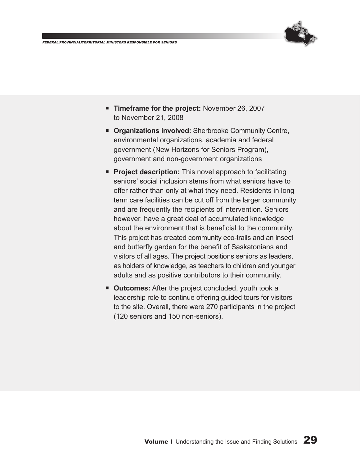

- ¡ **Timeframe for the project:** November 26, 2007 to November 21, 2008
- ¡ **Organizations involved:** Sherbrooke Community Centre, environmental organizations, academia and federal government (New Horizons for Seniors Program), government and non-government organizations
- **Project description:** This novel approach to facilitating seniors' social inclusion stems from what seniors have to offer rather than only at what they need. Residents in long term care facilities can be cut off from the larger community and are frequently the recipients of intervention. Seniors however, have a great deal of accumulated knowledge about the environment that is beneficial to the community. This project has created community eco-trails and an insect and butterfly garden for the benefit of Saskatonians and visitors of all ages. The project positions seniors as leaders, as holders of knowledge, as teachers to children and younger adults and as positive contributors to their community.
- **Outcomes:** After the project concluded, youth took a leadership role to continue offering guided tours for visitors to the site. Overall, there were 270 participants in the project (120 seniors and 150 non-seniors).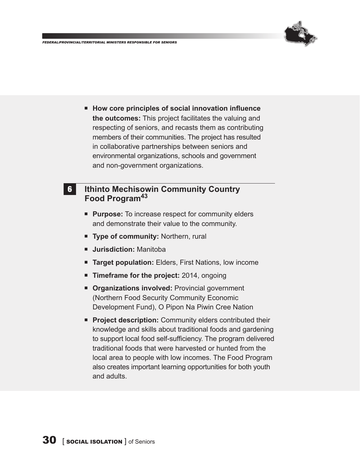

■ How core principles of social innovation influence **the outcomes:** This project facilitates the valuing and respecting of seniors, and recasts them as contributing members of their communities. The project has resulted in collaborative partnerships between seniors and environmental organizations, schools and government and non-government organizations.

#### 6 **Ithinto Mechisowin Community Country Food Program43**

- **Purpose:** To increase respect for community elders and demonstrate their value to the community.
- ¡ **Type of community:** Northern, rural
- ¡ **Jurisdiction:** Manitoba
- **Target population:** Elders, First Nations, low income
- **Timeframe for the project:** 2014, ongoing
- **E** Organizations involved: Provincial government (Northern Food Security Community Economic Development Fund), O Pipon Na Piwin Cree Nation
- **FICT** Project description: Community elders contributed their knowledge and skills about traditional foods and gardening to support local food self-sufficiency. The program delivered traditional foods that were harvested or hunted from the local area to people with low incomes. The Food Program also creates important learning opportunities for both youth and adults.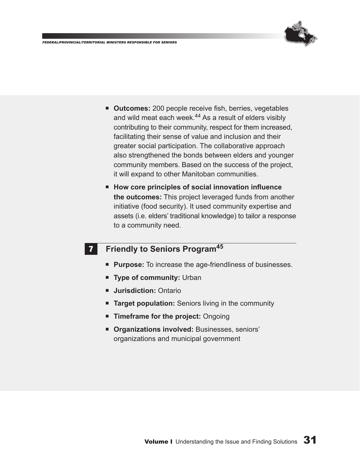

- ¡ **Outcomes:** 200 people receive fish, berries, vegetables and wild meat each week.<sup>44</sup> As a result of elders visibly contributing to their community, respect for them increased, facilitating their sense of value and inclusion and their greater social participation. The collaborative approach also strengthened the bonds between elders and younger community members. Based on the success of the project, it will expand to other Manitoban communities.
- How core principles of social innovation influence **the outcomes:** This project leveraged funds from another initiative (food security). It used community expertise and assets (i.e. elders' traditional knowledge) to tailor a response to a community need.

#### **7 Friendly to Seniors Program**<sup>45</sup>

- **Purpose:** To increase the age-friendliness of businesses.
- **Type of community: Urban**
- ¡ **Jurisdiction:** Ontario
- **Target population:** Seniors living in the community
- ¡ **Timeframe for the project:** Ongoing
- ¡ **Organizations involved:** Businesses, seniors' organizations and municipal government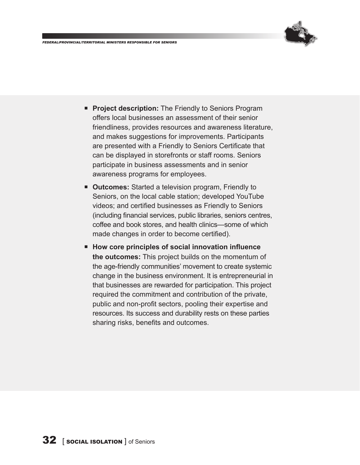

- ¡ **Project description:** The Friendly to Seniors Program offers local businesses an assessment of their senior friendliness, provides resources and awareness literature, and makes suggestions for improvements. Participants are presented with a Friendly to Seniors Certificate that can be displayed in storefronts or staff rooms. Seniors participate in business assessments and in senior awareness programs for employees.
- ¡ **Outcomes:** Started a television program, Friendly to Seniors, on the local cable station; developed YouTube videos; and certified businesses as Friendly to Seniors (including financial services, public libraries, seniors centres, coffee and book stores, and health clinics—some of which made changes in order to become certified).
- How core principles of social innovation influence **the outcomes:** This project builds on the momentum of the age-friendly communities' movement to create systemic change in the business environment. It is entrepreneurial in that businesses are rewarded for participation. This project required the commitment and contribution of the private, public and non-profit sectors, pooling their expertise and resources. Its success and durability rests on these parties sharing risks, benefits and outcomes.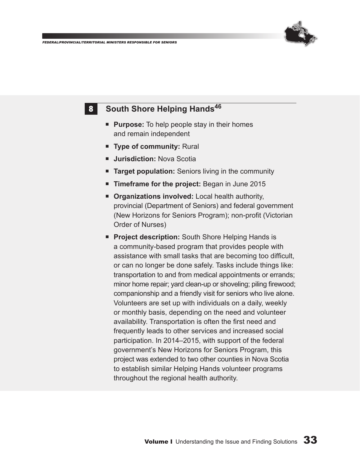

**8** South Shore Helping Hands<sup>46</sup>

- **Purpose:** To help people stay in their homes and remain independent
- ¡ **Type of community:** Rural
- **E** Jurisdiction: Nova Scotia
- **Target population:** Seniors living in the community
- ¡ **Timeframe for the project:** Began in June 2015
- **Organizations involved:** Local health authority, provincial (Department of Seniors) and federal government (New Horizons for Seniors Program); non‑profit (Victorian Order of Nurses)
- **Project description:** South Shore Helping Hands is a community-based program that provides people with assistance with small tasks that are becoming too difficult, or can no longer be done safely. Tasks include things like: transportation to and from medical appointments or errands; minor home repair; yard clean-up or shoveling; piling firewood; companionship and a friendly visit for seniors who live alone. Volunteers are set up with individuals on a daily, weekly or monthly basis, depending on the need and volunteer availability. Transportation is often the first need and frequently leads to other services and increased social participation. In 2014–2015, with support of the federal government's New Horizons for Seniors Program, this project was extended to two other counties in Nova Scotia to establish similar Helping Hands volunteer programs throughout the regional health authority.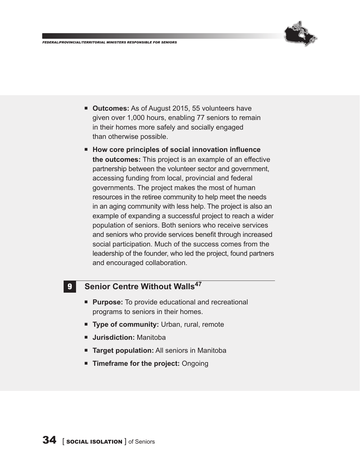

- **Outcomes:** As of August 2015, 55 volunteers have given over 1,000 hours, enabling 77 seniors to remain in their homes more safely and socially engaged than otherwise possible.
- How core principles of social innovation influence **the outcomes:** This project is an example of an effective partnership between the volunteer sector and government, accessing funding from local, provincial and federal governments. The project makes the most of human resources in the retiree community to help meet the needs in an aging community with less help. The project is also an example of expanding a successful project to reach a wider population of seniors. Both seniors who receive services and seniors who provide services benefit through increased social participation. Much of the success comes from the leadership of the founder, who led the project, found partners and encouraged collaboration.

#### **9** Senior Centre Without Walls<sup>47</sup>

- ¡ **Purpose:** To provide educational and recreational programs to seniors in their homes.
- **Type of community:** Urban, rural, remote
- ¡ **Jurisdiction:** Manitoba
- **Target population:** All seniors in Manitoba
- ¡ **Timeframe for the project:** Ongoing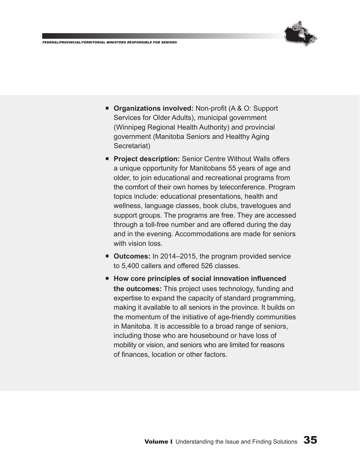

- **Organizations involved:** Non-profit (A & O: Support Services for Older Adults), municipal government (Winnipeg Regional Health Authority) and provincial government (Manitoba Seniors and Healthy Aging Secretariat)
- **Project description:** Senior Centre Without Walls offers a unique opportunity for Manitobans 55 years of age and older, to join educational and recreational programs from the comfort of their own homes by teleconference. Program topics include: educational presentations, health and wellness, language classes, book clubs, travelogues and support groups. The programs are free. They are accessed through a toll-free number and are offered during the day and in the evening. Accommodations are made for seniors with vision loss.
- **Outcomes:** In 2014–2015, the program provided service to 5,400 callers and offered 526 classes.
- How core principles of social innovation influenced **the outcomes:** This project uses technology, funding and expertise to expand the capacity of standard programming, making it available to all seniors in the province. It builds on the momentum of the initiative of age-friendly communities in Manitoba. It is accessible to a broad range of seniors, including those who are housebound or have loss of mobility or vision, and seniors who are limited for reasons of finances, location or other factors.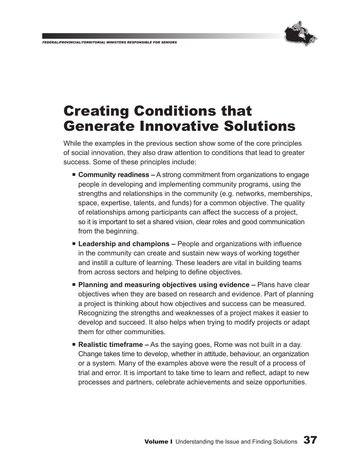

## Creating Conditions that Generate Innovative Solutions

While the examples in the previous section show some of the core principles of social innovation, they also draw attention to conditions that lead to greater success. Some of these principles include:

- **Community readiness** A strong commitment from organizations to engage people in developing and implementing community programs, using the strengths and relationships in the community (e.g. networks, memberships, space, expertise, talents, and funds) for a common objective. The quality of relationships among participants can affect the success of a project, so it is important to set a shared vision, clear roles and good communication from the beginning.
- **Leadership and champions** People and organizations with influence in the community can create and sustain new ways of working together and instill a culture of learning. These leaders are vital in building teams from across sectors and helping to define objectives.
- **Planning and measuring objectives using evidence** Plans have clear objectives when they are based on research and evidence. Part of planning a project is thinking about how objectives and success can be measured. Recognizing the strengths and weaknesses of a project makes it easier to develop and succeed. It also helps when trying to modify projects or adapt them for other communities.
- **Realistic timeframe** As the saying goes, Rome was not built in a day. Change takes time to develop, whether in attitude, behaviour, an organization or a system. Many of the examples above were the result of a process of trial and error. It is important to take time to learn and reflect, adapt to new processes and partners, celebrate achievements and seize opportunities.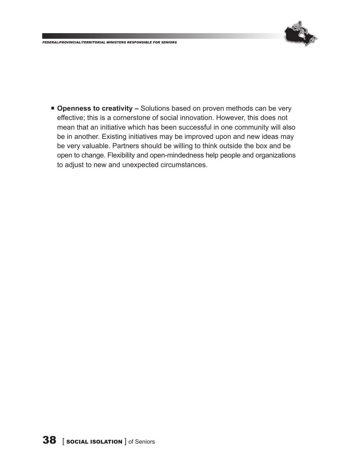

■ **Openness to creativity –** Solutions based on proven methods can be very effective; this is a cornerstone of social innovation. However, this does not mean that an initiative which has been successful in one community will also be in another. Existing initiatives may be improved upon and new ideas may be very valuable. Partners should be willing to think outside the box and be open to change. Flexibility and open-mindedness help people and organizations to adjust to new and unexpected circumstances.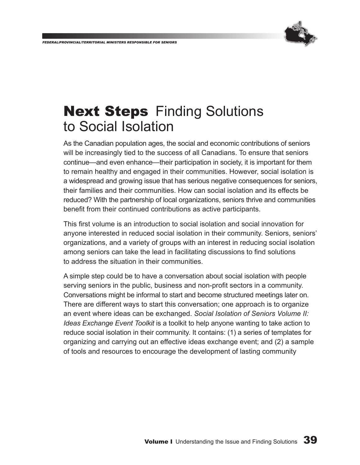

## **Next Steps Finding Solutions** to Social Isolation

As the Canadian population ages, the social and economic contributions of seniors will be increasingly tied to the success of all Canadians. To ensure that seniors continue—and even enhance—their participation in society, it is important for them to remain healthy and engaged in their communities. However, social isolation is a widespread and growing issue that has serious negative consequences for seniors, their families and their communities. How can social isolation and its effects be reduced? With the partnership of local organizations, seniors thrive and communities benefit from their continued contributions as active participants.

This first volume is an introduction to social isolation and social innovation for anyone interested in reduced social isolation in their community. Seniors, seniors' organizations, and a variety of groups with an interest in reducing social isolation among seniors can take the lead in facilitating discussions to find solutions to address the situation in their communities.

A simple step could be to have a conversation about social isolation with people serving seniors in the public, business and non-profit sectors in a community. Conversations might be informal to start and become structured meetings later on. There are different ways to start this conversation; one approach is to organize an event where ideas can be exchanged. *Social Isolation of Seniors Volume II: Ideas Exchange Event Toolkit* is a toolkit to help anyone wanting to take action to reduce social isolation in their community. It contains: (1) a series of templates for organizing and carrying out an effective ideas exchange event; and (2) a sample of tools and resources to encourage the development of lasting community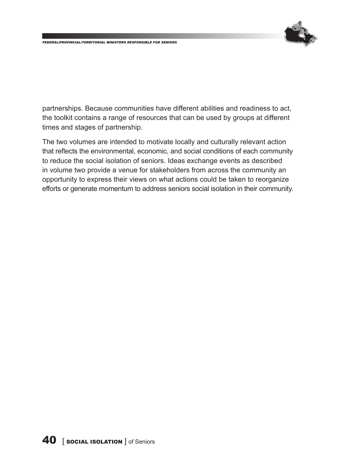

partnerships. Because communities have different abilities and readiness to act, the toolkit contains a range of resources that can be used by groups at different times and stages of partnership.

The two volumes are intended to motivate locally and culturally relevant action that reflects the environmental, economic, and social conditions of each community to reduce the social isolation of seniors. Ideas exchange events as described in volume two provide a venue for stakeholders from across the community an opportunity to express their views on what actions could be taken to reorganize efforts or generate momentum to address seniors social isolation in their community.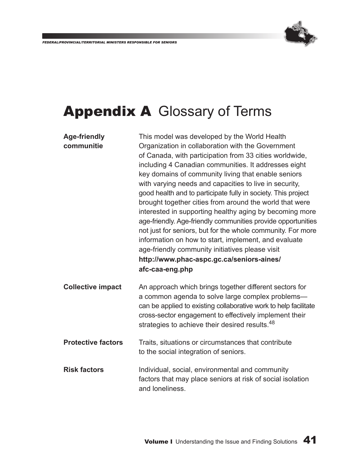

## Appendix A Glossary of Terms

| <b>Age-friendly</b>       | This model was developed by the World Health                                  |
|---------------------------|-------------------------------------------------------------------------------|
| communitie                | Organization in collaboration with the Government                             |
|                           | of Canada, with participation from 33 cities worldwide,                       |
|                           | including 4 Canadian communities. It addresses eight                          |
|                           | key domains of community living that enable seniors                           |
|                           | with varying needs and capacities to live in security,                        |
|                           | good health and to participate fully in society. This project                 |
|                           | brought together cities from around the world that were                       |
|                           | interested in supporting healthy aging by becoming more                       |
|                           | age-friendly. Age-friendly communities provide opportunities                  |
|                           | not just for seniors, but for the whole community. For more                   |
|                           | information on how to start, implement, and evaluate                          |
|                           | age-friendly community initiatives please visit                               |
|                           | http://www.phac-aspc.gc.ca/seniors-aines/                                     |
|                           |                                                                               |
|                           | afc-caa-eng.php                                                               |
| <b>Collective impact</b>  | An approach which brings together different sectors for                       |
|                           | a common agenda to solve large complex problems-                              |
|                           | can be applied to existing collaborative work to help facilitate              |
|                           | cross-sector engagement to effectively implement their                        |
|                           | strategies to achieve their desired results. <sup>48</sup>                    |
| <b>Protective factors</b> | Traits, situations or circumstances that contribute                           |
|                           | to the social integration of seniors.                                         |
| <b>Risk factors</b>       | Individual, social, environmental and community                               |
|                           | factors that may place seniors at risk of social isolation<br>and loneliness. |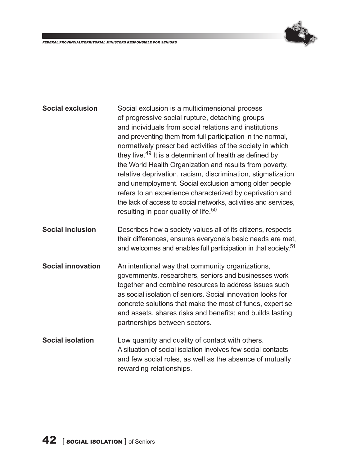

| <b>Social exclusion</b>  | Social exclusion is a multidimensional process<br>of progressive social rupture, detaching groups<br>and individuals from social relations and institutions<br>and preventing them from full participation in the normal,<br>normatively prescribed activities of the society in which<br>they live. <sup>49</sup> It is a determinant of health as defined by<br>the World Health Organization and results from poverty,<br>relative deprivation, racism, discrimination, stigmatization<br>and unemployment. Social exclusion among older people<br>refers to an experience characterized by deprivation and<br>the lack of access to social networks, activities and services,<br>resulting in poor quality of life. <sup>50</sup> |
|--------------------------|---------------------------------------------------------------------------------------------------------------------------------------------------------------------------------------------------------------------------------------------------------------------------------------------------------------------------------------------------------------------------------------------------------------------------------------------------------------------------------------------------------------------------------------------------------------------------------------------------------------------------------------------------------------------------------------------------------------------------------------|
| <b>Social inclusion</b>  | Describes how a society values all of its citizens, respects<br>their differences, ensures everyone's basic needs are met,<br>and welcomes and enables full participation in that society. <sup>51</sup>                                                                                                                                                                                                                                                                                                                                                                                                                                                                                                                              |
| <b>Social innovation</b> | An intentional way that community organizations,<br>governments, researchers, seniors and businesses work<br>together and combine resources to address issues such<br>as social isolation of seniors. Social innovation looks for<br>concrete solutions that make the most of funds, expertise<br>and assets, shares risks and benefits; and builds lasting<br>partnerships between sectors.                                                                                                                                                                                                                                                                                                                                          |
| <b>Social isolation</b>  | Low quantity and quality of contact with others.<br>A situation of social isolation involves few social contacts<br>and few social roles, as well as the absence of mutually<br>rewarding relationships.                                                                                                                                                                                                                                                                                                                                                                                                                                                                                                                              |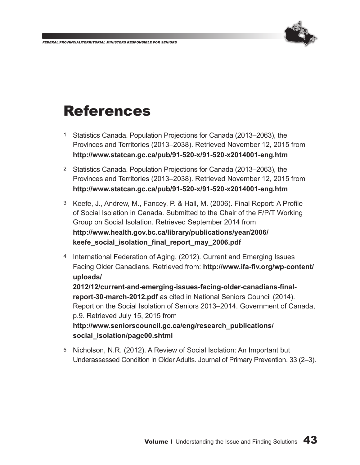

## References

- 1 Statistics Canada. Population Projections for Canada (2013–2063), the Provinces and Territories (2013–2038). Retrieved November 12, 2015 from **http://www.statcan.gc.ca/pub/91-520-x/91-520-x2014001-eng.htm**
- 2 Statistics Canada. Population Projections for Canada (2013–2063), the Provinces and Territories (2013–2038). Retrieved November 12, 2015 from **http://www.statcan.gc.ca/pub/91-520-x/91-520-x2014001-eng.htm**
- 3 Keefe, J., Andrew, M., Fancey, P. & Hall, M. (2006). Final Report: A Profile of Social Isolation in Canada. Submitted to the Chair of the F/P/T Working Group on Social Isolation. Retrieved September 2014 from **http://www.health.gov.bc.ca/library/publications/year/2006/ keefe\_social\_isolation\_final\_report\_may\_2006.pdf**
- 4 International Federation of Aging. (2012). Current and Emerging Issues Facing Older Canadians. Retrieved from: **http://www.ifa-fiv.org/wp-content/ uploads/ 2012/12/current-and-emerging‑issues-facing-older-canadians-finalreport-30-march-2012.pdf** as cited in National Seniors Council (2014). Report on the Social Isolation of Seniors 2013–2014. Government of Canada, p.9. Retrieved July 15, 2015 from **http://www.seniorscouncil.gc.ca/eng/research\_publications/**
	- **social\_isolation/page00.shtml**
- 5 Nicholson, N.R. (2012). A Review of Social Isolation: An Important but Underassessed Condition in Older Adults. Journal of Primary Prevention. 33 (2–3).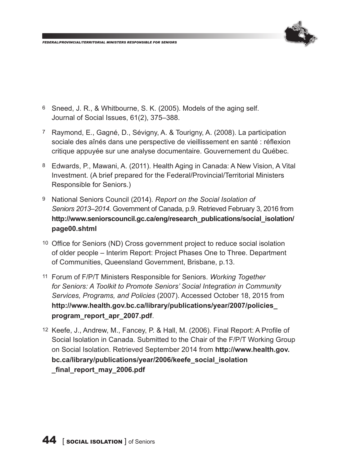

- 6 Sneed, J. R., & Whitbourne, S. K. (2005). Models of the aging self. Journal of Social Issues, 61(2), 375–388.
- 7 Raymond, E., Gagné, D., Sévigny, A. & Tourigny, A. (2008). La participation sociale des aînés dans une perspective de vieillissement en santé : réflexion critique appuyée sur une analyse documentaire. Gouvernement du Québec.
- 8 Edwards, P., Mawani, A. (2011). Health Aging in Canada: A New Vision, A Vital Investment. (A brief prepared for the Federal/Provincial/Territorial Ministers Responsible for Seniors.)
- 9 National Seniors Council (2014). *Report on the Social Isolation of Seniors 2013–2014.* Government of Canada, p.9. Retrieved February 3, 2016 from **http://www.seniorscouncil.gc.ca/eng/research\_publications/social\_isolation/ page00.shtml**
- 10 Office for Seniors (ND) Cross government project to reduce social isolation of older people – Interim Report: Project Phases One to Three. Department of Communities, Queensland Government, Brisbane, p.13.
- 11 Forum of F/P/T Ministers Responsible for Seniors. *Working Together for Seniors: A Toolkit to Promote Seniors' Social Integration in Community Services, Programs, and Policies* (2007). Accessed October 18, 2015 from **http://www.health.gov.bc.ca/library/publications/year/2007/policies\_ program\_report\_apr\_2007.pdf**.
- 12 Keefe, J., Andrew, M., Fancey, P. & Hall, M. (2006). Final Report: A Profile of Social Isolation in Canada. Submitted to the Chair of the F/P/T Working Group on Social Isolation. Retrieved September 2014 from **http://www.health.gov. bc.ca/library/publications/year/2006/keefe\_social\_isolation \_final\_report\_may\_2006.pdf**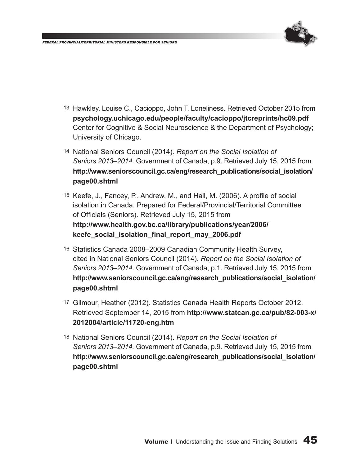

- 13 Hawkley, Louise C., Cacioppo, John T. Loneliness. Retrieved October 2015 from **psychology.uchicago.edu/people/faculty/cacioppo/jtcreprints/hc09.pdf** Center for Cognitive & Social Neuroscience & the Department of Psychology; University of Chicago.
- 14 National Seniors Council (2014). *Report on the Social Isolation of Seniors 2013–2014.* Government of Canada, p.9. Retrieved July 15, 2015 from **http://www.seniorscouncil.gc.ca/eng/research\_publications/social\_isolation/ page00.shtml**
- 15 Keefe, J., Fancey, P., Andrew, M., and Hall, M. (2006). A profile of social isolation in Canada. Prepared for Federal/Provincial/Territorial Committee of Officials (Seniors). Retrieved July 15, 2015 from **http://www.health.gov.bc.ca/library/publications/year/2006/ keefe\_social\_isolation\_final\_report\_may\_2006.pdf**
- 16 Statistics Canada 2008–2009 Canadian Community Health Survey, cited in National Seniors Council (2014). *Report on the Social Isolation of Seniors 2013–2014.* Government of Canada, p.1. Retrieved July 15, 2015 from **http://www.seniorscouncil.gc.ca/eng/research\_publications/social\_isolation/ page00.shtml**
- 17 Gilmour, Heather (2012). Statistics Canada Health Reports October 2012. Retrieved September 14, 2015 from **http://www.statcan.gc.ca/pub/82-003-x/ 2012004/article/11720-eng.htm**
- 18 National Seniors Council (2014). *Report on the Social Isolation of Seniors 2013–2014.* Government of Canada, p.9. Retrieved July 15, 2015 from **http://www.seniorscouncil.gc.ca/eng/research\_publications/social\_isolation/ page00.shtml**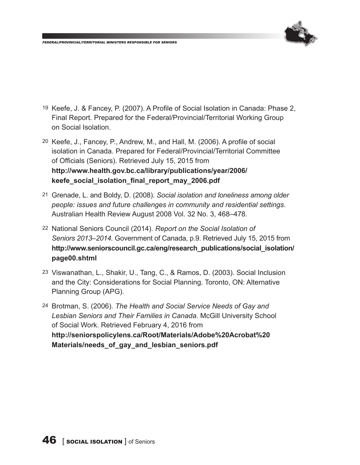

- 19 Keefe, J. & Fancey, P. (2007). A Profile of Social Isolation in Canada: Phase 2, Final Report. Prepared for the Federal/Provincial/Territorial Working Group on Social Isolation.
- 20 Keefe, J., Fancey, P., Andrew, M., and Hall, M. (2006). A profile of social isolation in Canada. Prepared for Federal/Provincial/Territorial Committee of Officials (Seniors). Retrieved July 15, 2015 from **http://www.health.gov.bc.ca/library/publications/year/2006/ keefe\_social\_isolation\_final\_report\_may\_2006.pdf**
- 21 Grenade, L. and Boldy, D. (2008). *Social isolation and loneliness among older people: issues and future challenges in community and residential settings.*  Australian Health Review August 2008 Vol. 32 No. 3, 468–478.
- 22 National Seniors Council (2014). *Report on the Social Isolation of Seniors 2013–2014.* Government of Canada, p.9. Retrieved July 15, 2015 from **http://www.seniorscouncil.gc.ca/eng/research\_publications/social\_isolation/ page00.shtml**
- 23 Viswanathan, L., Shakir, U., Tang, C., & Ramos, D. (2003). Social Inclusion and the City: Considerations for Social Planning. Toronto, ON: Alternative Planning Group (APG).
- 24 Brotman, S. (2006). *The Health and Social Service Needs of Gay and Lesbian Seniors and Their Families in Canada.* McGill University School of Social Work. Retrieved February 4, 2016 from **http://seniorspolicylens.ca/Root/Materials/Adobe%20Acrobat%20 Materials/needs\_of\_gay\_and\_lesbian\_seniors.pdf**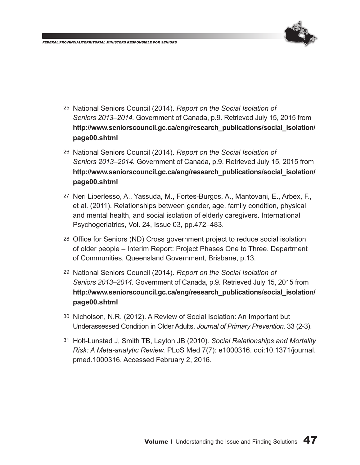

- 25 National Seniors Council (2014). *Report on the Social Isolation of Seniors 2013–2014.* Government of Canada, p.9. Retrieved July 15, 2015 from **http://www.seniorscouncil.gc.ca/eng/research\_publications/social\_isolation/ page00.shtml**
- 26 National Seniors Council (2014). *Report on the Social Isolation of Seniors 2013–2014.* Government of Canada, p.9. Retrieved July 15, 2015 from **http://www.seniorscouncil.gc.ca/eng/research\_publications/social\_isolation/ page00.shtml**
- 27 Neri Liberlesso, A., Yassuda, M., Fortes-Burgos, A., Mantovani, E., Arbex, F., et al. (2011). Relationships between gender, age, family condition, physical and mental health, and social isolation of elderly caregivers. International Psychogeriatrics, Vol. 24, Issue 03, pp.472–483.
- 28 Office for Seniors (ND) Cross government project to reduce social isolation of older people – Interim Report: Project Phases One to Three. Department of Communities, Queensland Government, Brisbane, p.13.
- 29 National Seniors Council (2014). *Report on the Social Isolation of Seniors 2013–2014.* Government of Canada, p.9. Retrieved July 15, 2015 from **http://www.seniorscouncil.gc.ca/eng/research\_publications/social\_isolation/ page00.shtml**
- 30 Nicholson, N.R. (2012). A Review of Social Isolation: An Important but Underassessed Condition in Older Adults. *Journal of Primary Prevention.* 33 (2-3).
- 31 Holt-Lunstad J, Smith TB, Layton JB (2010). *Social Relationships and Mortality Risk: A Meta-analytic Review.* PLoS Med 7(7): e1000316. doi:10.1371/journal. pmed.1000316. Accessed February 2, 2016.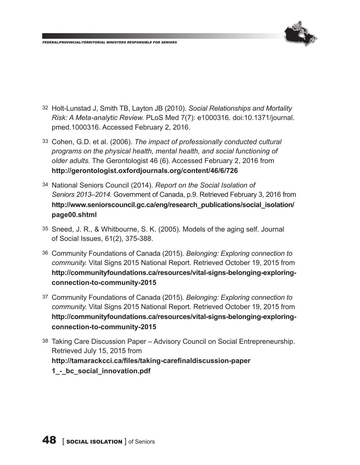

- 32 Holt-Lunstad J, Smith TB, Layton JB (2010). *Social Relationships and Mortality Risk: A Meta-analytic Review.* PLoS Med 7(7): e1000316. doi:10.1371/journal. pmed.1000316. Accessed February 2, 2016.
- 33 Cohen, G.D. et al. (2006). *The impact of professionally conducted cultural programs on the physical health, mental health, and social functioning of older adults.* The Gerontologist 46 (6). Accessed February 2, 2016 from **http://gerontologist.oxfordjournals.org/content/46/6/726**
- 34 National Seniors Council (2014). *Report on the Social Isolation of Seniors 2013–2014.* Government of Canada, p.9. Retrieved February 3, 2016 from **http://www.seniorscouncil.gc.ca/eng/research\_publications/social\_isolation/ page00.shtml**
- 35 Sneed, J. R., & Whitbourne, S. K. (2005). Models of the aging self. Journal of Social Issues, 61(2), 375-388.
- 36 Community Foundations of Canada (2015). *Belonging: Exploring connection to community.* Vital Signs 2015 National Report. Retrieved October 19, 2015 from **http://communityfoundations.ca/resources/vital-signs-belonging-exploringconnection-to-community-2015**
- 37 Community Foundations of Canada (2015). *Belonging: Exploring connection to community.* Vital Signs 2015 National Report. Retrieved October 19, 2015 from **http://communityfoundations.ca/resources/vital-signs-belonging-exploringconnection-to-community-2015**
- 38 Taking Care Discussion Paper Advisory Council on Social Entrepreneurship. Retrieved July 15, 2015 from **http://tamarackcci.ca/files/taking-carefinaldiscussion-paper 1\_-\_bc\_social\_innovation.pdf**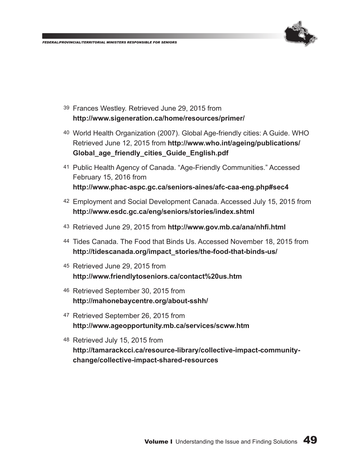

- 39 Frances Westley. Retrieved June 29, 2015 from **http://www.sigeneration.ca/home/resources/primer/**
- 40 World Health Organization (2007). Global Age-friendly cities: A Guide. WHO Retrieved June 12, 2015 from **http://www.who.int/ageing/publications/ Global\_age\_friendly\_cities\_Guide\_English.pdf**
- 41 Public Health Agency of Canada. "Age-Friendly Communities." Accessed February 15, 2016 from **http://www.phac-aspc.gc.ca/seniors-aines/afc-caa-eng.php#sec4**
- 42 Employment and Social Development Canada. Accessed July 15, 2015 from **http://www.esdc.gc.ca/eng/seniors/stories/index.shtml**
- 43 Retrieved June 29, 2015 from **http://www.gov.mb.ca/ana/nhfi.html**
- 44 Tides Canada. The Food that Binds Us. Accessed November 18, 2015 from **http://tidescanada.org/impact\_stories/the-food-that-binds-us/**
- 45 Retrieved June 29, 2015 from **http://www.friendlytoseniors.ca/contact%20us.htm**
- 46 Retrieved September 30, 2015 from **http://mahonebaycentre.org/about-sshh/**
- 47 Retrieved September 26, 2015 from **http://www.ageopportunity.mb.ca/services/scww.htm**
- 48 Retrieved July 15, 2015 from **http://tamarackcci.ca/resource-library/collective-impact-communitychange/collective-impact-shared-resources**